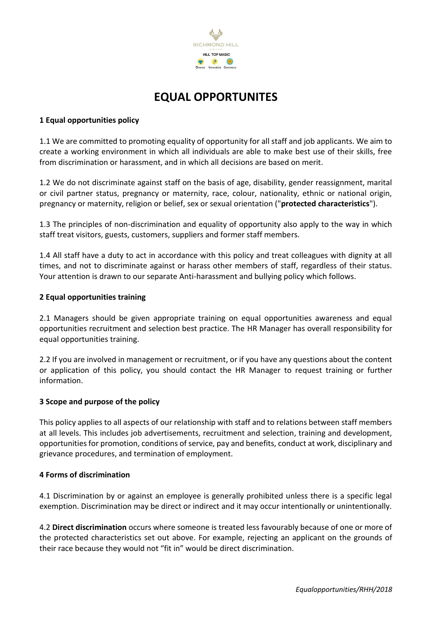

# **EQUAL OPPORTUNITES**

## **1 Equal opportunities policy**

1.1 We are committed to promoting equality of opportunity for all staff and job applicants. We aim to create a working environment in which all individuals are able to make best use of their skills, free from discrimination or harassment, and in which all decisions are based on merit.

1.2 We do not discriminate against staff on the basis of age, disability, gender reassignment, marital or civil partner status, pregnancy or maternity, race, colour, nationality, ethnic or national origin, pregnancy or maternity, religion or belief, sex or sexual orientation ("**protected characteristics**").

1.3 The principles of non-discrimination and equality of opportunity also apply to the way in which staff treat visitors, guests, customers, suppliers and former staff members.

1.4 All staff have a duty to act in accordance with this policy and treat colleagues with dignity at all times, and not to discriminate against or harass other members of staff, regardless of their status. Your attention is drawn to our separate Anti-harassment and bullying policy which follows.

## **2 Equal opportunities training**

2.1 Managers should be given appropriate training on equal opportunities awareness and equal opportunities recruitment and selection best practice. The HR Manager has overall responsibility for equal opportunities training.

2.2 If you are involved in management or recruitment, or if you have any questions about the content or application of this policy, you should contact the HR Manager to request training or further information.

## **3 Scope and purpose of the policy**

This policy applies to all aspects of our relationship with staff and to relations between staff members at all levels. This includes job advertisements, recruitment and selection, training and development, opportunities for promotion, conditions of service, pay and benefits, conduct at work, disciplinary and grievance procedures, and termination of employment.

## **4 Forms of discrimination**

4.1 Discrimination by or against an employee is generally prohibited unless there is a specific legal exemption. Discrimination may be direct or indirect and it may occur intentionally or unintentionally.

4.2 **Direct discrimination** occurs where someone is treated less favourably because of one or more of the protected characteristics set out above. For example, rejecting an applicant on the grounds of their race because they would not "fit in" would be direct discrimination.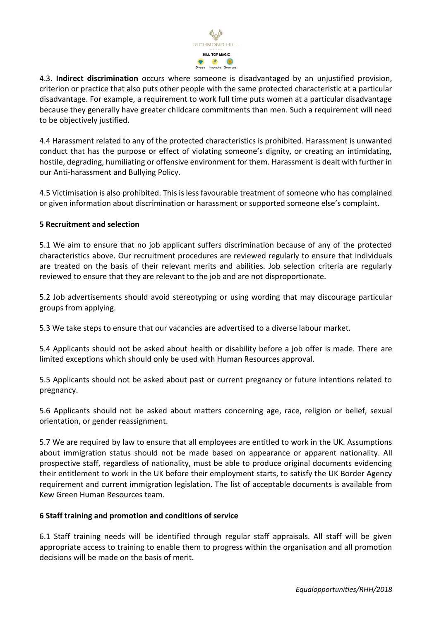

4.3. **Indirect discrimination** occurs where someone is disadvantaged by an unjustified provision, criterion or practice that also puts other people with the same protected characteristic at a particular disadvantage. For example, a requirement to work full time puts women at a particular disadvantage because they generally have greater childcare commitments than men. Such a requirement will need to be objectively justified.

4.4 Harassment related to any of the protected characteristics is prohibited. Harassment is unwanted conduct that has the purpose or effect of violating someone's dignity, or creating an intimidating, hostile, degrading, humiliating or offensive environment for them. Harassment is dealt with further in our Anti-harassment and Bullying Policy.

4.5 Victimisation is also prohibited. This is less favourable treatment of someone who has complained or given information about discrimination or harassment or supported someone else's complaint.

## **5 Recruitment and selection**

5.1 We aim to ensure that no job applicant suffers discrimination because of any of the protected characteristics above. Our recruitment procedures are reviewed regularly to ensure that individuals are treated on the basis of their relevant merits and abilities. Job selection criteria are regularly reviewed to ensure that they are relevant to the job and are not disproportionate.

5.2 Job advertisements should avoid stereotyping or using wording that may discourage particular groups from applying.

5.3 We take steps to ensure that our vacancies are advertised to a diverse labour market.

5.4 Applicants should not be asked about health or disability before a job offer is made. There are limited exceptions which should only be used with Human Resources approval.

5.5 Applicants should not be asked about past or current pregnancy or future intentions related to pregnancy.

5.6 Applicants should not be asked about matters concerning age, race, religion or belief, sexual orientation, or gender reassignment.

5.7 We are required by law to ensure that all employees are entitled to work in the UK. Assumptions about immigration status should not be made based on appearance or apparent nationality. All prospective staff, regardless of nationality, must be able to produce original documents evidencing their entitlement to work in the UK before their employment starts, to satisfy the UK Border Agency requirement and current immigration legislation. The list of acceptable documents is available from Kew Green Human Resources team.

# **6 Staff training and promotion and conditions of service**

6.1 Staff training needs will be identified through regular staff appraisals. All staff will be given appropriate access to training to enable them to progress within the organisation and all promotion decisions will be made on the basis of merit.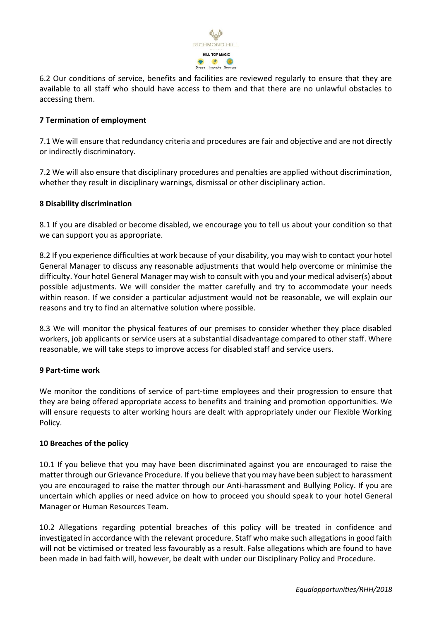

6.2 Our conditions of service, benefits and facilities are reviewed regularly to ensure that they are available to all staff who should have access to them and that there are no unlawful obstacles to accessing them.

## **7 Termination of employment**

7.1 We will ensure that redundancy criteria and procedures are fair and objective and are not directly or indirectly discriminatory.

7.2 We will also ensure that disciplinary procedures and penalties are applied without discrimination, whether they result in disciplinary warnings, dismissal or other disciplinary action.

## **8 Disability discrimination**

8.1 If you are disabled or become disabled, we encourage you to tell us about your condition so that we can support you as appropriate.

8.2 If you experience difficulties at work because of your disability, you may wish to contact your hotel General Manager to discuss any reasonable adjustments that would help overcome or minimise the difficulty. Your hotel General Manager may wish to consult with you and your medical adviser(s) about possible adjustments. We will consider the matter carefully and try to accommodate your needs within reason. If we consider a particular adjustment would not be reasonable, we will explain our reasons and try to find an alternative solution where possible.

8.3 We will monitor the physical features of our premises to consider whether they place disabled workers, job applicants or service users at a substantial disadvantage compared to other staff. Where reasonable, we will take steps to improve access for disabled staff and service users.

## **9 Part-time work**

We monitor the conditions of service of part-time employees and their progression to ensure that they are being offered appropriate access to benefits and training and promotion opportunities. We will ensure requests to alter working hours are dealt with appropriately under our Flexible Working Policy.

## **10 Breaches of the policy**

10.1 If you believe that you may have been discriminated against you are encouraged to raise the matter through our Grievance Procedure. If you believe that you may have been subject to harassment you are encouraged to raise the matter through our Anti-harassment and Bullying Policy. If you are uncertain which applies or need advice on how to proceed you should speak to your hotel General Manager or Human Resources Team.

10.2 Allegations regarding potential breaches of this policy will be treated in confidence and investigated in accordance with the relevant procedure. Staff who make such allegations in good faith will not be victimised or treated less favourably as a result. False allegations which are found to have been made in bad faith will, however, be dealt with under our Disciplinary Policy and Procedure.